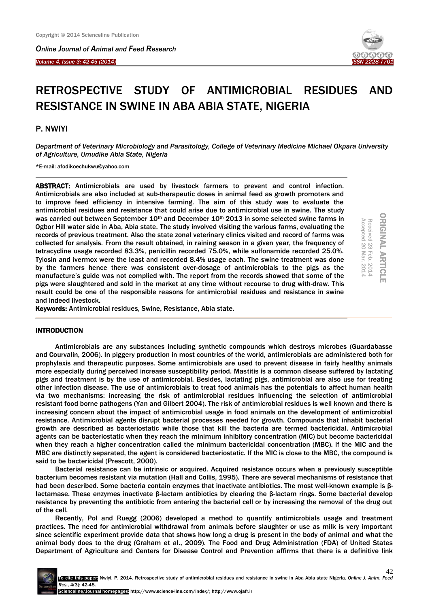*Online Journal of Animal and Feed Research* 

#### *Volume 4, Issue 3: 42-45 (2014)*



# RETROSPECTIVE STUDY OF ANTIMICROBIAL RESIDUES AND RESISTANCE IN SWINE IN ABA ABIA STATE, NIGERIA

## P. NWIYI

Ξ

*Department of Veterinary Microbiology and Parasitology, College of Veterinary Medicine Michael Okpara University of Agriculture, Umudike Abia State, Nigeria*

\*E-mail: afodikoechukwu@yahoo.com

ABSTRACT: Antimicrobials are used by livestock farmers to prevent and control infection. Antimicrobials are also included at sub-therapeutic doses in animal feed as growth promoters and to improve feed efficiency in intensive farming. The aim of this study was to evaluate the antimicrobial residues and resistance that could arise due to antimicrobial use in swine. The study was carried out between September 10<sup>th</sup> and December 10<sup>th</sup> 2013 in some selected swine farms in Ogbor Hill water side in Aba, Abia state. The study involved visiting the various farms, evaluating the records of previous treatment. Also the state zonal veterinary clinics visited and record of farms was collected for analysis. From the result obtained, in raining season in a given year, the frequency of tetracycline usage recorded 83.3%, penicillin recorded 75.0%, while sulfonamide recorded 25.0%. Tylosin and ivermox were the least and recorded 8.4% usage each. The swine treatment was done by the farmers hence there was consistent over-dosage of antimicrobials to the pigs as the manufacture's guide was not complied with. The report from the records showed that some of the pigs were slaughtered and sold in the market at any time without recourse to drug with-draw. This result could be one of the responsible reasons for antimicrobial residues and resistance in swine and indeed livestock.

**ORIGINAL ARTICLE** ORIGINAL ARTICLE Received 23 Feb. 2014<br>Accepted 20 Mar. 2014 Accepted 20 Mar. 2014 Feb. 2014

Keywords: Antimicrobial residues, Swine, Resistance, Abia state.

## INTRODUCTION

Antimicrobials are any substances including synthetic compounds which destroys microbes (Guardabasse and Courvalin, 2006). In piggery production in most countries of the world, antimicrobials are administered both for prophylaxis and therapeutic purposes. Some antimicrobials are used to prevent disease in fairly healthy animals more especially during perceived increase susceptibility period. Mastitis is a common disease suffered by lactating pigs and treatment is by the use of antimicrobial. Besides, lactating pigs, antimicrobial are also use for treating other infection disease. The use of antimicrobials to treat food animals has the potentials to affect human health via two mechanisms: increasing the risk of antimicrobial residues influencing the selection of antimicrobial resistant food borne pathogens (Yan and Gilbert 2004). The risk of antimicrobial residues is well known and there is increasing concern about the impact of antimicrobial usage in food animals on the development of antimicrobial resistance. Antimicrobial agents disrupt bacterial processes needed for growth. Compounds that inhabit bacterial growth are described as bacteriostatic while those that kill the bacteria are termed bactericidal. Antimicrobial agents can be bacteriostatic when they reach the minimum inhibitory concentration (MIC) but become bactericidal when they reach a higher concentration called the minimum bactericidal concentration (MBC). If the MIC and the MBC are distinctly separated, the agent is considered bacteriostatic. If the MIC is close to the MBC, the compound is said to be bactericidal (Prescott, 2000).

Bacterial resistance can be intrinsic or acquired. Acquired resistance occurs when a previously susceptible bacterium becomes resistant via mutation (Hall and Collis, 1995). There are several mechanisms of resistance that had been described. Some bacteria contain enzymes that inactivate antibiotics. The most well-known example is βlactamase. These enzymes inactivate β-lactam antibiotics by clearing the β-lactam rings. Some bacterial develop resistance by preventing the antibiotic from entering the bacterial cell or by increasing the removal of the drug out of the cell.

Recently, Pol and Ruegg (2006) developed a method to quantify antimicrobials usage and treatment practices. The need for antimicrobial withdrawal from animals before slaughter or use as milk is very important since scientific experiment provide data that shows how long a drug is present in the body of animal and what the animal body does to the drug (Graham et al., 2009). The Food and Drug Administration (FDA) of United States Department of Agriculture and Centers for Disease Control and Prevention affirms that there is a definitive link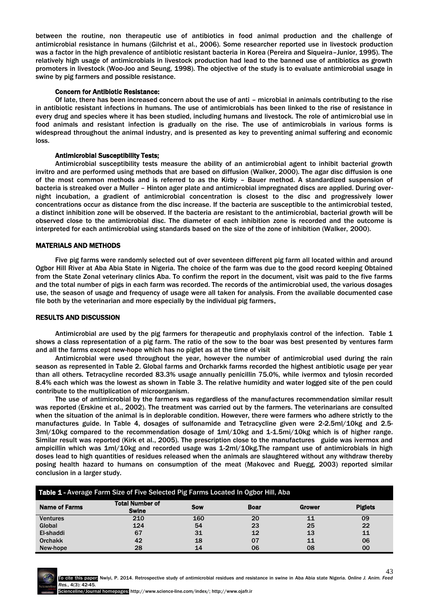between the routine, non therapeutic use of antibiotics in food animal production and the challenge of antimicrobial resistance in humans (Gilchrist et al., 2006). Some researcher reported use in livestock production was a factor in the high prevalence of antibiotic resistant bacteria in Korea (Pereira and Siqueira–Junior, 1995). The relatively high usage of antimicrobials in livestock production had lead to the banned use of antibiotics as growth promoters in livestock (Woo-Joo and Seung, 1998). The objective of the study is to evaluate antimicrobial usage in swine by pig farmers and possible resistance.

#### Concern for Antibiotic Resistance:

Of late, there has been increased concern about the use of anti – microbial in animals contributing to the rise in antibiotic resistant infections in humans. The use of antimicrobials has been linked to the rise of resistance in every drug and species where it has been studied, including humans and livestock. The role of antimicrobial use in food animals and resistant infection is gradually on the rise. The use of antimicrobials in various forms is widespread throughout the animal industry, and is presented as key to preventing animal suffering and economic loss.

#### Antimicrobial Susceptibility Tests;

Antimicrobial susceptibility tests measure the ability of an antimicrobial agent to inhibit bacterial growth invitro and are performed using methods that are based on diffusion (Walker, 2000). The agar disc diffusion is one of the most common methods and is referred to as the Kirby – Bauer method. A standardized suspension of bacteria is streaked over a Muller – Hinton ager plate and antimicrobial impregnated discs are applied. During overnight incubation, a gradient of antimicrobial concentration is closest to the disc and progressively lower concentrations occur as distance from the disc increase. If the bacteria are susceptible to the antimicrobial tested, a distinct inhibition zone will be observed. If the bacteria are resistant to the antimicrobial, bacterial growth will be observed close to the antimicrobial disc. The diameter of each inhibition zone is recorded and the outcome is interpreted for each antimicrobial using standards based on the size of the zone of inhibition (Walker, 2000).

#### MATERIALS AND METHODS

Five pig farms were randomly selected out of over seventeen different pig farm all located within and around Ogbor Hill River at Aba Abia State in Nigeria. The choice of the farm was due to the good record keeping Obtained from the State Zonal veterinary clinics Aba. To confirm the report in the document, visit was paid to the five farms and the total number of pigs in each farm was recorded. The records of the antimicrobial used, the various dosages use, the season of usage and frequency of usage were all taken for analysis. From the available documented case file both by the veterinarian and more especially by the individual pig farmers.

## RESULTS AND DISCUSSION

Antimicrobial are used by the pig farmers for therapeutic and prophylaxis control of the infection. Table 1 shows a class representation of a pig farm. The ratio of the sow to the boar was best presented by ventures farm and all the farms except new-hope which has no piglet as at the time of visit

Antimicrobial were used throughout the year, however the number of antimicrobial used during the rain season as represented in Table 2. Global farms and Orcharkk farms recorded the highest antibiotic usage per year than all others. Tetracycline recorded 83.3% usage annually penicillin 75.0%, while ivermox and tylosin recorded 8.4% each which was the lowest as shown in Table 3. The relative humidity and water logged site of the pen could contribute to the multiplication of microorganism.

The use of antimicrobial by the farmers was regardless of the manufactures recommendation similar result was reported (Erskine et al., 2002). The treatment was carried out by the farmers. The veterinarians are consulted when the situation of the animal is in deplorable condition. However, there were farmers who adhere strictly to the manufactures guide. In Table 4, dosages of sulfonamide and Tetracycline given were 2-2.5ml/10kg and 2.5- 3ml/10kg compared to the recommendation dosage of 1ml/10kg and 1-1.5mi/10kg which is of higher range. Similar result was reported (Kirk et al., 2005). The prescription close to the manufactures guide was ivermox and ampicillin which was 1ml/10kg and recorded usage was 1-2ml/10kg.The rampant use of antimicrobials in high doses lead to high quantities of residues released when the animals are slaughtered without any withdraw thereby posing health hazard to humans on consumption of the meat (Makovec and Ruegg, 2003) reported similar conclusion in a larger study.

| Table 1 - Average Farm Size of Five Selected Pig Farms Located In Ogbor Hill, Aba |                                        |            |             |               |                |
|-----------------------------------------------------------------------------------|----------------------------------------|------------|-------------|---------------|----------------|
| <b>Name of Farms</b>                                                              | <b>Total Number of</b><br><b>Swine</b> | <b>Sow</b> | <b>Boar</b> | <b>Grower</b> | <b>Piglets</b> |
| <b>Ventures</b>                                                                   | 210                                    | 160        | 20          |               | 09             |
| Global                                                                            | 124                                    | 54         | 23          | 25            | 22             |
| El-shaddi                                                                         | 67                                     | 31         | 12          | 13            | 11             |
| <b>Orchakk</b>                                                                    | 42                                     | 18         | 07          | 11            | 06             |
| New-hope                                                                          | 28                                     | 14         | 06          | 08            | 00             |

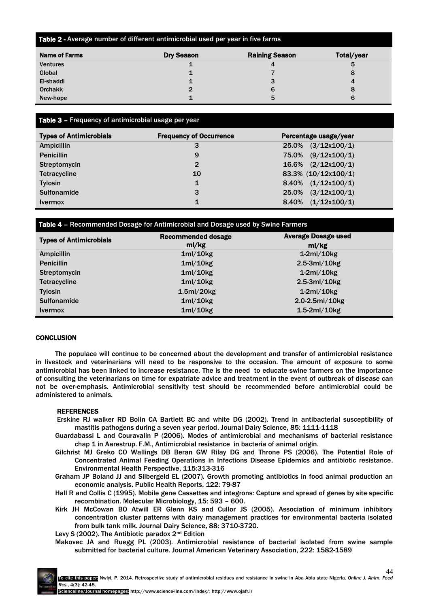# Table 2 - Average number of different antimicrobial used per year in five farms

| Name of Farms   | <b>Dry Season</b> | <b>Raining Season</b> | Total/year |
|-----------------|-------------------|-----------------------|------------|
| <b>Ventures</b> |                   |                       | 5          |
| Global          | ∸                 |                       | 8          |
| El-shaddi       |                   | 3                     | 4          |
| <b>Orchakk</b>  | 2                 | 6                     | 8          |
| New-hope        |                   | 5                     | 6          |

# Table 3 - Frequency of antimicrobial usage per year

| <b>Types of Antimicrobials</b> | <b>Frequency of Occurrence</b> | Percentage usage/year   |
|--------------------------------|--------------------------------|-------------------------|
| <b>Ampicillin</b>              |                                | $25.0\%$ $(3/12x100/1)$ |
| <b>Penicillin</b>              | 9                              | 75.0% (9/12x100/1)      |
| Streptomycin                   | $\overline{2}$                 | 16.6% $(2/12x100/1)$    |
| <b>Tetracycline</b>            | 10                             | 83.3% (10/12x100/1)     |
| <b>Tylosin</b>                 | 1                              | $8.40\%$ $(1/12x100/1)$ |
| <b>Sulfonamide</b>             | 3                              | $25.0\%$ $(3/12x100/1)$ |
| <b>Ivermox</b>                 | 1                              | 8.40% $(1/12x100/1)$    |

## Table 4 – Recommended Dosage for Antimicrobial and Dosage used by Swine Farmers

| <b>Types of Antimicrobials</b> | <b>Recommended dosage</b>          | <b>Average Dosage used</b> |
|--------------------------------|------------------------------------|----------------------------|
|                                | ml/kg                              | ml/kg                      |
| <b>Ampicillin</b>              | 1m/10kg                            | $1-2ml/10kg$               |
| <b>Penicillin</b>              | 1ml/10kg                           | $2.5-3ml/10kg$             |
| Streptomycin                   | 1ml/10kg                           | $1-2ml/10kg$               |
| <b>Tetracycline</b>            | 1m/10kg                            | $2.5-3ml/10kg$             |
| <b>Tylosin</b>                 | 1.5 <sub>m</sub> /20 <sub>kg</sub> | $1-2ml/10kg$               |
| <b>Sulfonamide</b>             | 1ml/10kg                           | $2.0 - 2.5$ ml/10kg        |
| <b>Ivermox</b>                 | 1m/10kg                            | $1.5-2ml/10kg$             |

## **CONCLUSION**

The populace will continue to be concerned about the development and transfer of antimicrobial resistance in livestock and veterinarians will need to be responsive to the occasion. The amount of exposure to some antimicrobial has been linked to increase resistance. The is the need to educate swine farmers on the importance of consulting the veterinarians on time for expatriate advice and treatment in the event of outbreak of disease can not be over-emphasis. Antimicrobial sensitivity test should be recommended before antimicrobial could be administered to animals.

## **REFERENCES**

- Erskine RJ walker RD Bolin CA Bartlett BC and white DG (2002). Trend in antibacterial susceptibility of mastitis pathogens during a seven year period. Journal Dairy Science, 85: 1111-1118
- Guardabassi L and Couravalin P (2006). Modes of antimicrobial and mechanisms of bacterial resistance chap 1 in Aarestrup. F.M., Antimicrobial resistance in bacteria of animal origin.
- Gilchrist MJ Greko CO Wallings DB Beran GW Rilay DG and Throne PS (2006). The Potential Role of Concentrated Animal Feeding Operations in Infections Disease Epidemics and antibiotic resistance. Environmental Health Perspective, 115:313-316
- Graham JP Boland JJ and Silbergeld EL (2007). Growth promoting antibiotics in food animal production an economic analysis. Public Health Reports, 122: 79-87
- Hall R and Collis C (1995). Mobile gene Cassettes and integrons: Capture and spread of genes by site specific recombination. Molecular Microbiology, 15: 593 – 600.
- Kirk JH McCowan BO Atwill ER Glenn KS and Cullor JS (2005). Association of minimum inhibitory concentration cluster patterns with dairy management practices for environmental bacteria isolated from bulk tank milk. Journal Dairy Science, 88: 3710-3720.

Levy S (2002). The Antibiotic paradox 2nd Edition

Makovec JA and Ruegg PL (2003). Antimicrobial resistance of bacterial isolated from swine sample submitted for bacterial culture. Journal American Veterinary Association, 222: 1582-1589